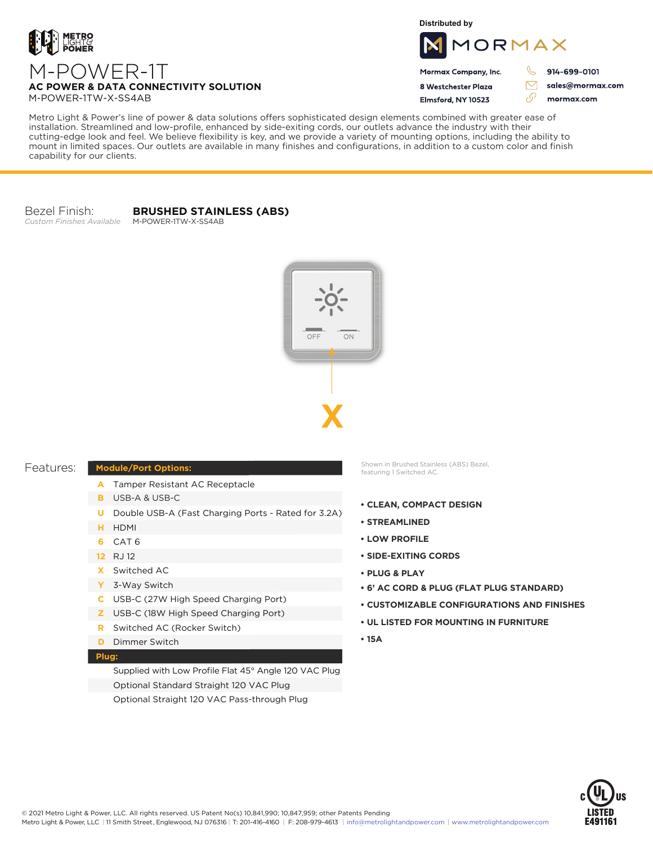

**Distributed by**



Mormax Company, Inc. 8 Westchester Plaza

Elmsford, NY 10523

914-699-0101

 $\triangledown$ 

وي

sales@mormax.com mormax.com

**AC POWER & DATA CONNECTIVITY SOLUTION** M-POWER-1TW-X-SS4AB

Metro Light & Power's line of power & data solutions offers sophisticated design elements combined with greater ease of installation. Streamlined and low-profile, enhanced by side-exiting cords, our outlets advance the industry with their cutting-edge look and feel. We believe flexibility is key, and we provide a variety of mounting options, including the ability to mount in limited spaces. Our outlets are available in many finishes and configurations, in addition to a custom color and finish capability for our clients.

Bezel Finish: *Custom Finishes Available* **BRUSHED STAINLESS (ABS)** M-POWER-1TW-X-SS4AB

> ON OFF **X**

| Features: |
|-----------|
|-----------|

## **Module/Port Options:**

- A Tamper Resistant AC Receptacle
- USB-A & USB-C **B**
- U Double USB-A (Fast Charging Ports Rated for 3.2A)
- HDMI **H**
- CAT 6 **6**
- 12 RJ 12
- Switched AC **X**
- 3-Way Switch **Y**
- USB-C (27W High Speed Charging Port) **C**
- USB-C (18W High Speed Charging Port) **Z**
- Switched AC (Rocker Switch) **R**
- **D** Dimmer Switch

## **Plug:**

Supplied with Low Profile Flat 45° Angle 120 VAC Plug Optional Standard Straight 120 VAC Plug Optional Straight 120 VAC Pass-through Plug

Shown in Brushed Stainless (ABS) Bezel, featuring 1 Switched AC.

- **CLEAN, COMPACT DESIGN**
- **STREAMLINED**
- **LOW PROFILE**
- **SIDE-EXITING CORDS**
- **PLUG & PLAY**
- **6' AC CORD & PLUG (FLAT PLUG STANDARD)**
- **CUSTOMIZABLE CONFIGURATIONS AND FINISHES**
- **UL LISTED FOR MOUNTING IN FURNITURE**
- **15A**